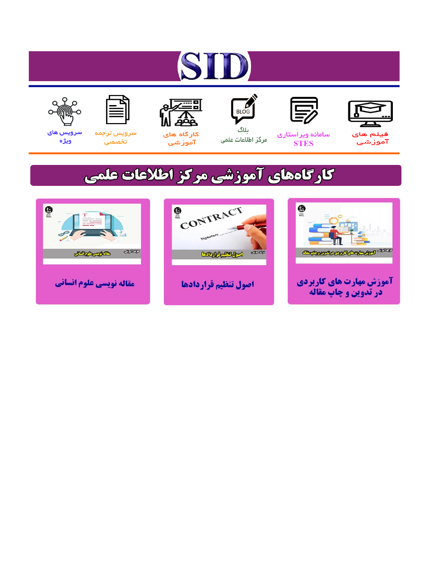# ST











مرکز اطلاعات علمی

 $\frac{1}{\sqrt{\frac{1}{100}}}$ ىلاگ



آموزشي

空

سرويس ترجمه تخصصى



سرویس های ويژه

# كارگاههای آموزشی مركز اطلاعات علمی





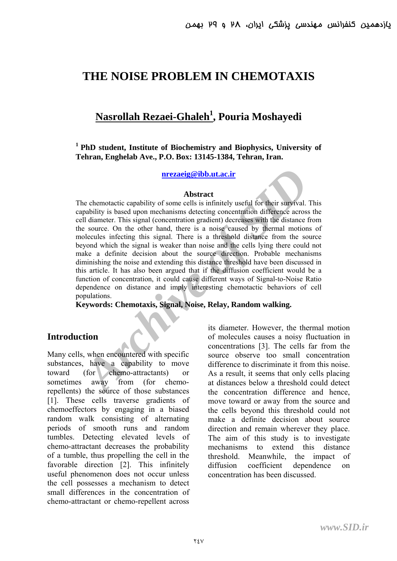## **THE NOISE PROBLEM IN CHEMOTAXIS**

# **Nasrollah Rezaei-Ghaleh 1 , Pouria Moshayedi**

#### **1 PhD student, Institute of Biochemistry and Biophysics, University of Tehran, Enghelab Ave., P.O. Box: 13145-1384, Tehran, Iran.**

**nrezaeig@ibb.ut.ac.ir**

#### **Abstract**

**Archive Constrained Archive Constrained Archives an Archive Constrained Archives and Archives and Archives and Constrained Archives and the signal (concentration gradient) decreases with the distance for survival. There** The chemotactic capability of some cells is infinitely useful for their survival. This capability is based upon mechanisms detecting concentration difference across the cell diameter. This signal (concentration gradient) decreases with the distance from the source. On the other hand, there is a noise caused by thermal motions of molecules infecting this signal. There is a threshold distance from the source beyond which the signal is weaker than noise and the cells lying there could not make a definite decision about the source direction. Probable mechanisms diminishing the noise and extending this distance threshold have been discussed in this article. It has also been argued that if the diffusion coefficient would be a function of concentration, it could cause different ways of Signal-to-Noise Ratio dependence on distance and imply interesting chemotactic behaviors of cell populations.

**Keywords: Chemotaxis, Signal, Noise, Relay, Random walking.** 

#### **Introduction**

Many cells, when encountered with specific substances, have a capability to move toward (for chemo-attractants) or sometimes away from (for chemorepellents) the source of those substances [1]. These cells traverse gradients of chemoeffectors by engaging in a biased random walk consisting of alternating periods of smooth runs and random tumbles. Detecting elevated levels of chemo-attractant decreases the probability of a tumble, thus propelling the cell in the favorable direction [2]. This infinitely useful phenomenon does not occur unless the cell possesses a mechanism to detect small differences in the concentration of chemo-attractant or chemo-repellent across

its diameter. However, the thermal motion of molecules causes a noisy fluctuation in concentrations [3]. The cells far from the source observe too small concentration difference to discriminate it from this noise. As a result, it seems that only cells placing at distances below a threshold could detect the concentration difference and hence, move toward or away from the source and the cells beyond this threshold could not make a definite decision about source direction and remain wherever they place. The aim of this study is to investigate mechanisms to extend this distance threshold. Meanwhile, the impact of diffusion coefficient dependence on concentration has been discussed.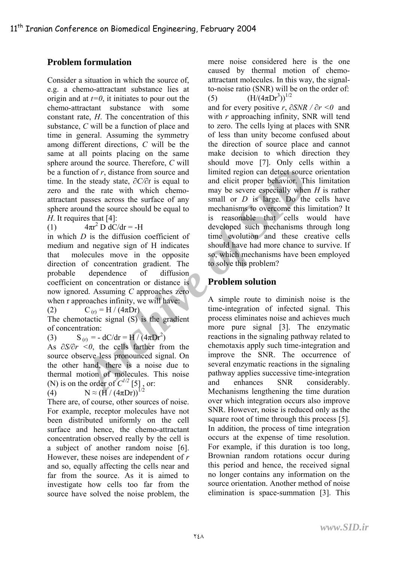### **Problem formulation**

Consider a situation in which the source of, e.g. a chemo-attractant substance lies at origin and at  $t=0$ , it initiates to pour out the chemo-attractant substance with some constant rate, *H*. The concentration of this substance, *C* will be a function of place and time in general. Assuming the symmetry among different directions, *C* will be the same at all points placing on the same sphere around the source. Therefore, *C* will be a function of *r*, distance from source and time. In the steady state,  $\partial C / \partial t$  is equal to zero and the rate with which chemoattractant passes across the surface of any sphere around the source should be equal to *H*. It requires that [4]:

 $(1)$  $\pi r^2 D dC/dr = -H$ 

in which *D* is the diffusion coefficient of medium and negative sign of H indicates that molecules move in the opposite direction of concentration gradient. The probable dependence of diffusion coefficient on concentration or distance is now ignored. Assuming *C* approaches zero when r approaches infinity, we will have:

(2)  $C_{(r)} = H / (4\pi Dr)$ 

The chemotactic signal (S) is the gradient of concentration:

(3)  $S_{(r)} = -dC/dr = H/(4\pi Dr^2)$ 

As *∂S/∂ r <0*, the cells farther from the source observe less pronounced signal. On the other hand, there is a noise due to thermal motion of molecules. This noise (N) is on the order of  $C^{1/2}$  [5], or:

 $(4)$ ≈ (H / (4πDr))<sup>1/2</sup>

There are, of course, other sources of noise. For example, receptor molecules have not been distributed uniformly on the cell surface and hence, the chemo-attractant concentration observed really by the cell is a subject of another random noise [6]. However, these noises are independent of *r* and so, equally affecting the cells near and far from the source. As it is aimed to investigate how cells too far from the source have solved the noise problem, the mere noise considered here is the one caused by thermal motion of chemoattractant molecules. In this way, the signalto-noise ratio (SNR) will be on the order of: (5)  $(H/(4\pi\bar{D}r^3))^{1/2}$ 

and for every positive *r*,  $\partial SNR / \partial r < 0$  and with *r* approaching infinity, SNR will tend to zero. The cells lying at places with SNR of less than unity become confused about the direction of source place and cannot make decision to which direction they should move [7]. Only cells within a limited region can detect source orientation and elicit proper behavior. This limitation may be severe especially when *H* is rather small or *D* is large. Do the cells have mechanisms to overcome this limitation? It is reasonable that cells would have developed such mechanisms through long time evolution and these creative cells should have had more chance to survive. If so, which mechanisms have been employed to solve this problem?

### **Problem solution**

ion of *r*, distance from source and<br>
inited region can detect source<br>
the rate with which chem-<br>
passes across the surface of any<br>
passes across the surface of any<br>
passes across the surface of any<br>
mall or *D* is large. A simple route to diminish noise is the time-integration of infected signal. This process eliminates noise and achieves much more pure signal [3]. The enzymatic reactions in the signaling pathway related to chemotaxis apply such time-integration and improve the SNR. The occurrence of several enzymatic reactions in the signaling pathway applies successive time-integration and enhances SNR considerably. Mechanisms lengthening the time duration over which integration occurs also improve SNR. However, noise is reduced only asthe square root of time through this process [5]. In addition, the process of time integration occurs at the expense of time resolution. For example, if this duration is too long, Brownian random rotations occur during this period and hence, the received signal no longer contains any information on the source orientation. Another method of noise elimination is space-summation [3]. This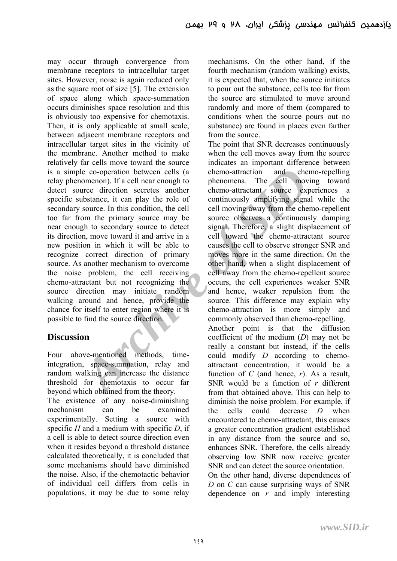Le co-operation between cells (a<br>
chemo-attraction and che<br>
ure comenon). If a cell near enough to<br>
ure direction scentes another chemo-attractant source experi<br>
ubstance, it can play the role of continuously amplifying s may occur through convergence from membrane receptors to intracellular target sites. However, noise is again reduced only as the square root of size [5]. The extension of space along which space-summation occurs diminishes space resolution and this is obviously too expensive for chemotaxis. Then, it is only applicable at small scale, between adjacent membrane receptors and intracellular target sites in the vicinity of the membrane. Another method to make relatively far cells move toward the source is a simple co-operation between cells (a relay phenomenon). If a cell near enough to detect source direction secretes another specific substance, it can play the role of secondary source. In this condition, the cell too far from the primary source may be near enough to secondary source to detect its direction, move toward it and arrive in a new position in which it will be able to recognize correct direction of primary source. As another mechanism to overcome the noise problem, the cell receiving chemo-attractant but not recognizing the source direction may initiate random walking around and hence, provide the chance for itself to enter region where it is possible to find the source direction.

#### **Discussion**

Four above-mentioned methods, timeintegration, space-summation, relay and random walking can increase the distance threshold for chemotaxis to occur far beyond which obtained from the theory.

The existence of any noise-diminishing mechanism can be examined experimentally. Setting a source with specific *H* and a medium with specific *D*, if a cell is able to detect source direction even when it resides beyond a threshold distance calculated theoretically, it is concluded that some mechanisms should have diminished the noise. Also, if the chemotactic behavior of individual cell differs from cells in populations, it may be due to some relay

mechanisms. On the other hand, if the fourth mechanism (random walking) exists, it is expected that, when the source initiates to pour out the substance, cells too far from the source are stimulated to move around randomly and more of them (compared to conditions when the source pours out no substance) are found in places even farther from the source.

The point that SNR decreases continuously when the cell moves away from the source indicates an important difference between chemo-attraction and chemo-repelling phenomena. The cell moving toward chemo-attractant source experiences a continuously amplifying signal while the cell moving away from the chemo-repellent source observes a continuously damping signal. Therefore, a slight displacement of cell toward the chemo-attractant source causes the cell to observe stronger SNR and moves more in the same direction. On the other hand, when a slight displacement of cell away from the chemo-repellent source occurs, the cell experiences weaker SNR and hence, weaker repulsion from the source. This difference may explain why chemo-attraction is more simply and commonly observed than chemo-repelling. Another point is that the diffusion

coefficient of the medium (*D*) may not be really a constant but instead, if the cells could modify *D* according to chemoattractant concentration, it would be a function of  $C$  (and hence,  $r$ ). As a result, SNR would be a function of *r* different from that obtained above. This can help to diminish the noise problem. For example, if the cells could decrease *D* when encountered to chemo-attractant, this causes a greater concentration gradient established in any distance from the source and so, enhances SNR. Therefore, the cells already observing low SNR now receive greater SNR and can detect the source orientation. On the other hand, diverse dependences of *D* on *C* can cause surprising ways of SNR dependence on *r* and imply interesting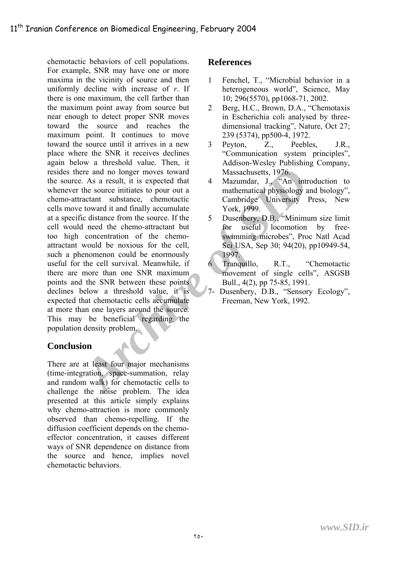Free and no longer moves toward<br> *Archive in the SID* and the source initiates to pour out a<br>
the source infident and the stratect in the stratect state of canobridge University 1<br>
it cataractant substance, chemotactic cam chemotactic behaviors of cell populations. For example, SNR may have one or more maxima in the vicinity of source and then uniformly decline with increase of *r*. If there is one maximum, the cell farther than the maximum point away from source but near enough to detect proper SNR moves toward the source and reaches the maximum point. It continues to move toward the source until it arrives in a new place where the SNR it receives declines again below a threshold value. Then, it resides there and no longer moves toward the source. As a result, it is expected that whenever the source initiates to pour out a chemo-attractant substance, chemotactic cells move toward it and finally accumulate at a specific distance from the source. If the cell would need the chemo-attractant but too high concentration of the chemoattractant would be noxious for the cell, such a phenomenon could be enormously useful for the cell survival. Meanwhile, if there are more than one SNR maximum points and the SNR between these points declines below a threshold value, it is expected that chemotactic cells accumulate at more than one layers around the source. This may be beneficial regarding the population density problem.

## **Conclusion**

There are at least four major mechanisms (time-integration, space-summation, relay and random walk) for chemotactic cells to challenge the noise problem. The idea presented at this article simply explains why chemo-attraction is more commonly observed than chemo-repelling. If the diffusion coefficient depends on the chemoeffector concentration, it causes different ways of SNR dependence on distance from the source and hence, implies novel chemotactic behaviors.

#### **References**

- 1 Fenchel, T., "Microbial behavior in a heterogeneous world", Science, May 10; 296(5570), pp1068-71, 2002.
- 2 Berg, H.C., Brown, D.A., "Chemotaxis in Escherichia coli analysed by threedimensional tracking", Nature, Oct 27; 239 (5374), pp500-4, 1972.
- 3 Peyton, Z., Peebles, J.R., "Communication system principles", Addison-Wesley Publishing Company, Massachusetts, 1976.
- 4 Mazumdar, J., "An introduction to mathematical physiology and biology", Cambridge University Press, New York, 1999.
- 5 Dusenbery, D.B., "Minimum size limit for useful locomotion by freeswimming microbes", Proc Natl Acad Sci USA, Sep 30; 94(20), pp10949-54, 1997.
- 6 Tranquillo, R.T., "Chemotactic movement of single cells", ASGSB Bull., 4(2), pp 75-85, 1991.
- 7- Dusenbery, D.B., "Sensory Ecology", Freeman, New York, 1992.